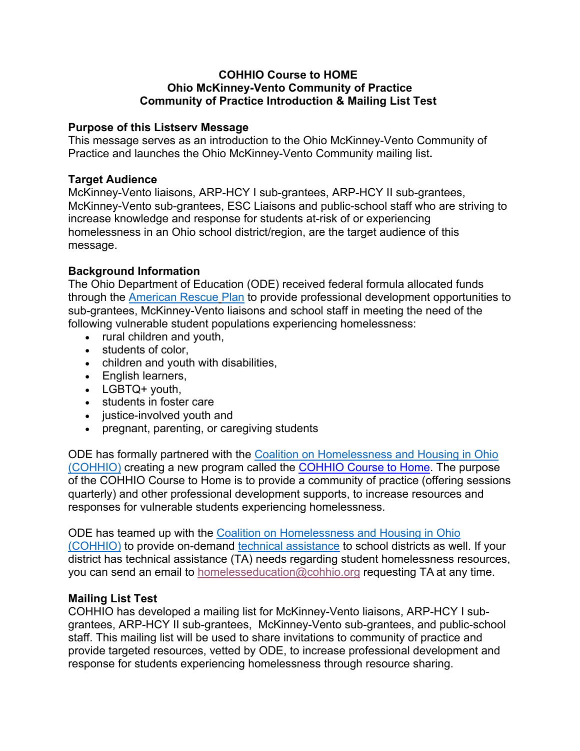# **COHHIO Course to HOME Ohio McKinney-Vento Community of Practice Community of Practice Introduction & Mailing List Test**

# **Purpose of this Listserv Message**

This message serves as an introduction to the Ohio McKinney-Vento Community of Practice and launches the Ohio McKinney-Vento Community mailing list**.**

### **Target Audience**

McKinney-Vento liaisons, ARP-HCY I sub-grantees, ARP-HCY II sub-grantees, McKinney-Vento sub-grantees, ESC Liaisons and public-school staff who are striving to increase knowledge and response for students at-risk of or experiencing homelessness in an Ohio school district/region, are the target audience of this message.

# **Background Information**

The Ohio Department of Education (ODE) received federal formula allocated funds through the American Rescue Plan to provide professional development opportunities to sub-grantees, McKinney-Vento liaisons and school staff in meeting the need of the following vulnerable student populations experiencing homelessness:

- rural children and youth,
- students of color,
- children and youth with disabilities,
- English learners,
- LGBTQ+ youth,
- students in foster care
- justice-involved youth and
- pregnant, parenting, or caregiving students

ODE has formally partnered with the Coalition on Homelessness and Housing in Ohio (COHHIO) creating a new program called the COHHIO Course to Home. The purpose of the COHHIO Course to Home is to provide a community of practice (offering sessions quarterly) and other professional development supports, to increase resources and responses for vulnerable students experiencing homelessness.

ODE has teamed up with the Coalition on Homelessness and Housing in Ohio (COHHIO) to provide on-demand technical assistance to school districts as well. If your district has technical assistance (TA) needs regarding student homelessness resources, you can send an email to homelesseducation@cohhio.org requesting TA at any time.

# **Mailing List Test**

COHHIO has developed a mailing list for McKinney-Vento liaisons, ARP-HCY I subgrantees, ARP-HCY II sub-grantees, McKinney-Vento sub-grantees, and public-school staff. This mailing list will be used to share invitations to community of practice and provide targeted resources, vetted by ODE, to increase professional development and response for students experiencing homelessness through resource sharing.